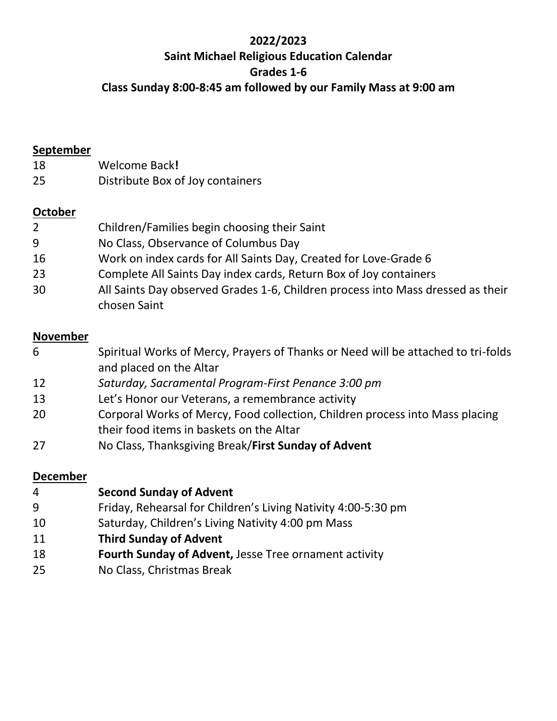# **2022/2023 Saint Michael Religious Education Calendar Grades 1-6 Class Sunday 8:00-8:45 am followed by our Family Mass at 9:00 am**

#### **September**

- Welcome Back**!**
- Distribute Box of Joy containers

# **October**

| $\overline{2}$ | Children/Families begin choosing their Saint                                                    |
|----------------|-------------------------------------------------------------------------------------------------|
| 9              | No Class, Observance of Columbus Day                                                            |
| 16             | Work on index cards for All Saints Day, Created for Love-Grade 6                                |
| 23             | Complete All Saints Day index cards, Return Box of Joy containers                               |
| 30             | All Saints Day observed Grades 1-6, Children process into Mass dressed as their<br>chosen Saint |

# **November**

| 6  | Spiritual Works of Mercy, Prayers of Thanks or Need will be attached to tri-folds |
|----|-----------------------------------------------------------------------------------|
|    | and placed on the Altar                                                           |
| 12 | Saturday, Sacramental Program-First Penance 3:00 pm                               |
| 13 | Let's Honor our Veterans, a remembrance activity                                  |
| 20 | Corporal Works of Mercy, Food collection, Children process into Mass placing      |
|    | their food items in baskets on the Altar                                          |
| 27 | No Class, Thanksgiving Break/First Sunday of Advent                               |

#### **December**

| -4 | <b>Second Sunday of Advent</b>                                |
|----|---------------------------------------------------------------|
| 9  | Friday, Rehearsal for Children's Living Nativity 4:00-5:30 pm |
| 10 | Saturday, Children's Living Nativity 4:00 pm Mass             |
| 11 | <b>Third Sunday of Advent</b>                                 |
| 18 | Fourth Sunday of Advent, Jesse Tree ornament activity         |
| 25 | No Class, Christmas Break                                     |
|    |                                                               |